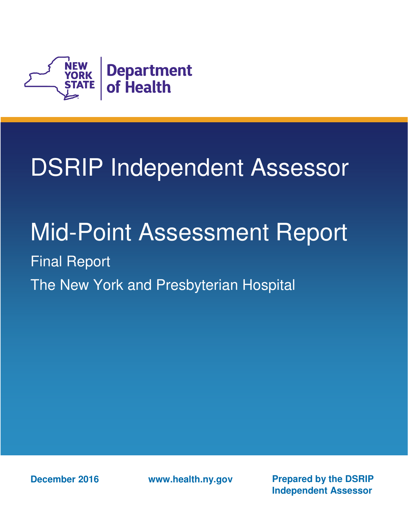

# DSRIP Independent Assessor

## Mid-Point Assessment Report

 Final Report The New York and Presbyterian Hospital

 **December 2016** 

**www.health.ny.gov Prepared by the DSRIP Independent Assessor**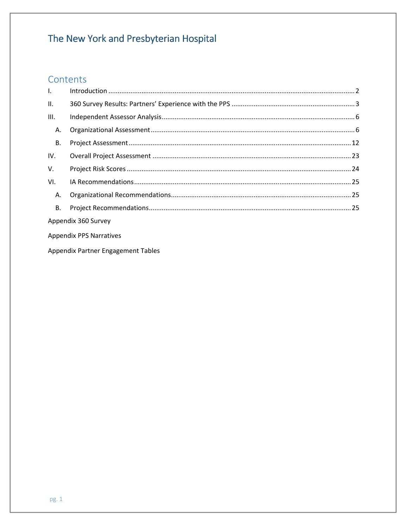## Contents

| $\mathbf{L}$ |                     |  |  |  |
|--------------|---------------------|--|--|--|
| II.          |                     |  |  |  |
| III.         |                     |  |  |  |
| Α.           |                     |  |  |  |
| В.           |                     |  |  |  |
| IV.          |                     |  |  |  |
| V.           |                     |  |  |  |
| VI.          |                     |  |  |  |
| Α.           |                     |  |  |  |
| В.           |                     |  |  |  |
|              | Appendix 360 Survey |  |  |  |

Appendix PPS Narratives

Appendix Partner Engagement Tables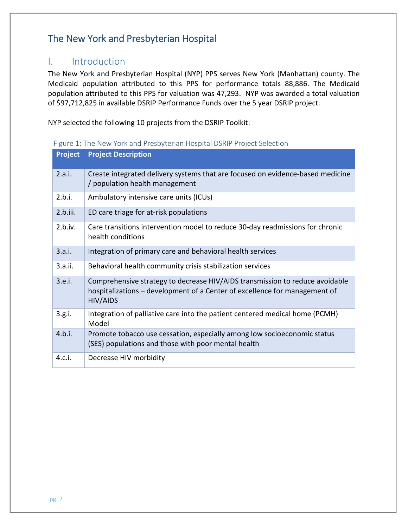## I. Introduction

 The New York and Presbyterian Hospital (NYP) PPS serves New York (Manhattan) county. The Medicaid population attributed to this PPS for performance totals 88,886. The Medicaid population attributed to this PPS for valuation was 47,293. NYP was awarded a total valuation of \$97,712,825 in available DSRIP Performance Funds over the 5 year DSRIP project.

NYP selected the following 10 projects from the DSRIP Toolkit:

| Project  | <b>Project Description</b>                                                                                                                                             |
|----------|------------------------------------------------------------------------------------------------------------------------------------------------------------------------|
| 2.a.i.   | Create integrated delivery systems that are focused on evidence-based medicine<br>/ population health management                                                       |
| 2.b.i.   | Ambulatory intensive care units (ICUs)                                                                                                                                 |
| 2.b.iii. | ED care triage for at-risk populations                                                                                                                                 |
| 2.b.iv.  | Care transitions intervention model to reduce 30-day readmissions for chronic<br>health conditions                                                                     |
| 3.a.i.   | Integration of primary care and behavioral health services                                                                                                             |
| 3.a.ii.  | Behavioral health community crisis stabilization services                                                                                                              |
| 3.e.i.   | Comprehensive strategy to decrease HIV/AIDS transmission to reduce avoidable<br>hospitalizations - development of a Center of excellence for management of<br>HIV/AIDS |
| 3.g.i.   | Integration of palliative care into the patient centered medical home (PCMH)<br>Model                                                                                  |
| 4.b.i.   | Promote tobacco use cessation, especially among low socioeconomic status<br>(SES) populations and those with poor mental health                                        |
| 4.c.i.   | Decrease HIV morbidity                                                                                                                                                 |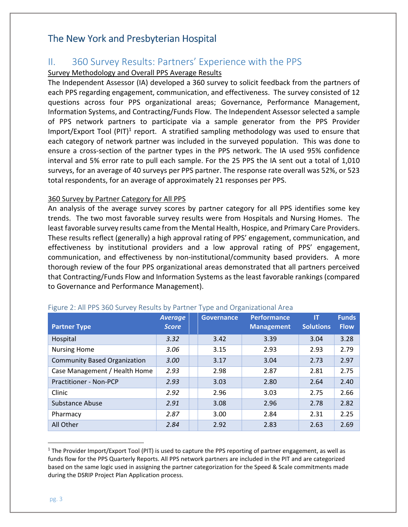## II. 360 Survey Results: Partners' Experience with the PPS

#### Survey Methodology and Overall PPS Average Results

 The Independent Assessor (IA) developed a 360 survey to solicit feedback from the partners of each PPS regarding engagement, communication, and effectiveness. The survey consisted of 12 questions across four PPS organizational areas; Governance, Performance Management, Information Systems, and Contracting/Funds Flow. The Independent Assessor selected a sample of PPS network partners to participate via a sample generator from the PPS Provider Import/Export Tool  $(PIT)^1$  report. A stratified sampling methodology was used to ensure that each category of network partner was included in the surveyed population. This was done to ensure a cross-section of the partner types in the PPS network. The IA used 95% confidence interval and 5% error rate to pull each sample. For the 25 PPS the IA sent out a total of 1,010 surveys, for an average of 40 surveys per PPS partner. The response rate overall was 52%, or 523 total respondents, for an average of approximately 21 responses per PPS.

#### 360 Survey by Partner Category for All PPS

 An analysis of the average survey scores by partner category for all PPS identifies some key trends. The two most favorable survey results were from Hospitals and Nursing Homes. The least favorable survey results came from the Mental Health, Hospice, and Primary Care Providers. These results reflect (generally) a high approval rating of PPS' engagement, communication, and effectiveness by institutional providers and a low approval rating of PPS' engagement, communication, and effectiveness by non-institutional/community based providers. A more thorough review of the four PPS organizational areas demonstrated that all partners perceived that Contracting/Funds Flow and Information Systems as the least favorable rankings (compared to Governance and Performance Management).

| <b>Partner Type</b>                 | <b>Average</b><br><b>Score</b> | $\sqrt{ }$<br><b>Governance</b> | Performance<br><b>Management</b> | ΙT<br><b>Solutions</b> | <b>Funds</b><br><b>Flow</b> |
|-------------------------------------|--------------------------------|---------------------------------|----------------------------------|------------------------|-----------------------------|
| Hospital                            | 3.32                           | 3.42                            | 3.39                             | 3.04                   | 3.28                        |
| <b>Nursing Home</b>                 | 3.06                           | 3.15                            | 2.93                             | 2.93                   | 2.79                        |
| <b>Community Based Organization</b> | 3.00                           | 3.17                            | 3.04                             | 2.73                   | 2.97                        |
| Case Management / Health Home       | 2.93                           | 2.98                            | 2.87                             | 2.81                   | 2.75                        |
| Practitioner - Non-PCP              | 2.93                           | 3.03                            | 2.80                             | 2.64                   | 2.40                        |
| Clinic                              | 2.92                           | 2.96                            | 3.03                             | 2.75                   | 2.66                        |
| Substance Abuse                     | 2.91                           | 3.08                            | 2.96                             | 2.78                   | 2.82                        |
| Pharmacy                            | 2.87                           | 3.00                            | 2.84                             | 2.31                   | 2.25                        |
| All Other                           | 2.84                           | 2.92                            | 2.83                             | 2.63                   | 2.69                        |

#### Figure 2: All PPS 360 Survey Results by Partner Type and Organizational Area

l

 $1$  The Provider Import/Export Tool (PIT) is used to capture the PPS reporting of partner engagement, as well as funds flow for the PPS Quarterly Reports. All PPS network partners are included in the PIT and are categorized based on the same logic used in assigning the partner categorization for the Speed & Scale commitments made during the DSRIP Project Plan Application process.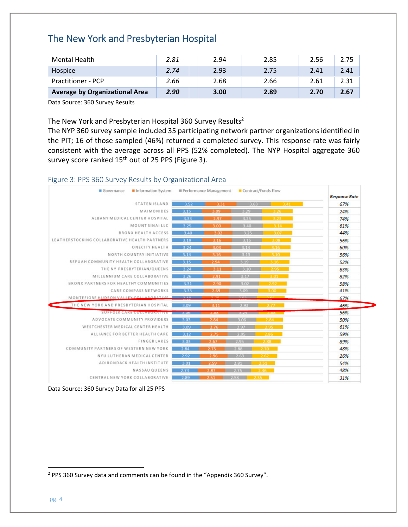| Mental Health                         | 2.81 | 2.94 | 2.85 | 2.56 | 2.75 |
|---------------------------------------|------|------|------|------|------|
| Hospice                               | 2.74 | 2.93 | 2.75 | 2.41 | 2.41 |
| <b>Practitioner - PCP</b>             | 2.66 | 2.68 | 2.66 | 2.61 | 2.31 |
| <b>Average by Organizational Area</b> | 2.90 | 3.00 | 2.89 | 2.70 | 2.67 |

Data Source: 360 Survey Results

#### The New York and Presbyterian Hospital 360 Survey Results<sup>2</sup>

 The NYP 360 survey sample included 35 participating network partner organizations identified in the PIT; 16 of those sampled (46%) returned a completed survey. This response rate was fairly consistent with the average across all PPS (52% completed). The NYP Hospital aggregate 360 survey score ranked 15<sup>th</sup> out of 25 PPS (Figure 3).

#### Figure 3: PPS 360 Survey Results by Organizational Area

| Information System<br>Governance              |              | Performance Management | Contract/Funds Flow |            | <b>Response Rate</b> |
|-----------------------------------------------|--------------|------------------------|---------------------|------------|----------------------|
| STATEN ISLAND                                 | 3.52         | 3.31                   | 3.63                | $-3.41$    | 67%                  |
| MAIMONIDES                                    | 3.15         | 3.09                   | 3.29                | $-3.26$    | 24%                  |
| ALBANY MEDICAL CENTER HOSPITAL                | 3.33         | 2.97                   | 3.25                | $3.23 -$   | 74%                  |
| MOUNTSINAILLC                                 | 3.25         | 3.00                   | 3.40                | $3.14 -$   | 61%                  |
| <b>BRONX HEALTH ACCESS</b>                    | 3.40         | 3.02                   | 3.25                | $3.07 -$   | 44%                  |
| LEATHERSTOCKING COLLABORATIVE HEALTH PARTNERS | 3.19         | 3.16                   | 3.15                | 3.08       | 56%                  |
| ONECITY HEALTH                                | 3.24         | 3.03                   | 3.14                | 3.16       | 60%                  |
| NORTH COUNTRY INITIATIVE                      | 3.14         | 3.16                   | 3.13                | 3.10       | 56%                  |
| REFUAH COMMUNITY HEALTH COLLABORATIVE         | 3.15         | 2.94                   | 3.19                | 3.16       | 52%                  |
| THE NY PRESBYTERIAN/QUEENS                    | 3.24         | 3.11                   | 3.10                | $2.95 -$   | 63%                  |
| MILLENNIUM CARE COLLABORATIVE                 | 3.26         | 2.91                   | 3.17                | $3.01 -$   | 82%                  |
| BRONX PARTNERS FOR HEALTHY COMMUNITIES        | 3.31         | 2.90                   | 3.02                | 2.92       | 58%                  |
| CARE COMPASS NETWORKS                         | 3.33         | 2.69                   | 3.09                | $3.00 -$   | 41%                  |
| MONTEFIORE HUDSON VALLEY COLLAROPATIVE        |              |                        |                     |            | 67%                  |
| THE NEW YORK AND PRESBYTERIAN HOSPITAL        | 3.09         | 3.11                   | 2.93                | 2.77       | 46%                  |
| <b>SUFFOLK CARE COLLABORATIVE</b>             | <b>DAUDI</b> | 2.00                   |                     | 2.58       | 56%                  |
| ADVOCATE COMMUNITY PROVIDERS                  | 3.03         | 2.84                   | 3.06                | 2.84       | 50%                  |
| WESTCHESTER MEDICAL CENTER HEALTH             | 3.09         | 2.76                   | 2.97                | $2.95 -$   | 61%                  |
| ALLIANCE FOR BETTER HEALTH CARE               | 3.12         | 2.75                   | 2.95                | 2.86       | 59%                  |
| <b>FINGERLAKES</b>                            | 3.03         | 2.67                   | 2.95                | $2.88 - 1$ | 89%                  |
| COMMUNITY PARTNERS OF WESTERN NEW YORK        | 2.84         | 2.75                   |                     | $2.70 -$   | 48%                  |
| NYU LUTHERAN MEDICAL CENTER                   | 2.92         | 2.96                   | 263                 | 2.62       | 26%                  |
| ADIRONDACK HEALTH INSTITUTE                   | 3.01         | 2.59<br>2.81           |                     | $2.51 -$   | 54%                  |
| NASSAU QUEENS                                 | 2.74         | 2.87                   | 2.75                | $-2.46$    | 48%                  |
| CENTRAL NEW YORK COLLABORATIVE                | 2.89         | 2.51                   | $-2.35 -$<br>2.53   |            | 31%                  |

Data Source: 360 Survey Data for all 25 PPS

 $2$  PPS 360 Survey data and comments can be found in the "Appendix 360 Survey".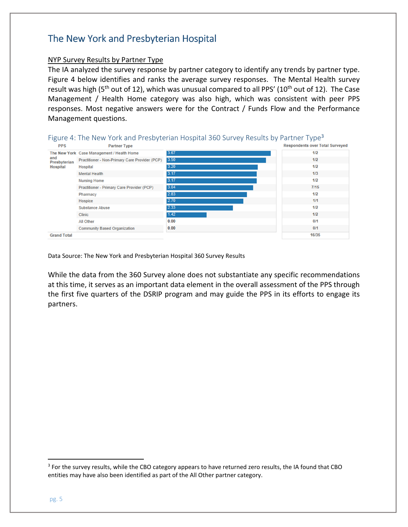#### NYP Survey Results by Partner Type

 The IA analyzed the survey response by partner category to identify any trends by partner type. Figure 4 below identifies and ranks the average survey responses. The Mental Health survey result was high (5<sup>th</sup> out of 12), which was unusual compared to all PPS' (10<sup>th</sup> out of 12). The Case Management / Health Home category was also high, which was consistent with peer PPS responses. Most negative answers were for the Contract / Funds Flow and the Performance Management questions.

| <b>PPS</b>          | <b>Partner Type</b>                               |      | <b>Respondents over Total Surveyed</b> |
|---------------------|---------------------------------------------------|------|----------------------------------------|
| and<br>Presbyterian | The New York Case Management / Health Home        | 3.67 | 1/2                                    |
|                     | Practitioner - Non-Primary Care Provider (PCP)    | 3.50 | 1/2                                    |
| <b>Hospital</b>     | Hospital                                          | 3.20 | 1/2                                    |
|                     | <b>Mental Health</b>                              | 3.17 | 1/3                                    |
|                     | <b>Nursing Home</b>                               | 3.17 | 1/2                                    |
|                     | <b>Practitioner - Primary Care Provider (PCP)</b> | 3.04 | 7/15                                   |
|                     | Pharmacy                                          | 2.83 | 1/2                                    |
|                     | Hospice                                           | 2.70 | 1/1                                    |
|                     | <b>Substance Abuse</b>                            | 2.33 | 1/2                                    |
|                     | <b>Clinic</b>                                     | 1.42 | 1/2                                    |
|                     | All Other                                         | 0.00 | 0/1                                    |
|                     | <b>Community Based Organization</b>               | 0.00 | 0/1                                    |
| <b>Grand Total</b>  |                                                   |      | 16/35                                  |



Data Source: The New York and Presbyterian Hospital 360 Survey Results

 While the data from the 360 Survey alone does not substantiate any specific recommendations at this time, it serves as an important data element in the overall assessment of the PPS through the first five quarters of the DSRIP program and may guide the PPS in its efforts to engage its partners.

l

<sup>&</sup>lt;sup>3</sup> For the survey results, while the CBO category appears to have returned zero results, the IA found that CBO entities may have also been identified as part of the All Other partner category.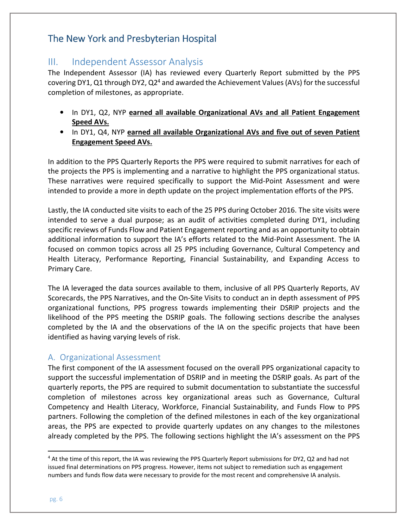## III. Independent Assessor Analysis

covering DY1, Q1 through DY2, Q2<sup>4</sup> and awarded the Achievement Values (AVs) for the successful completion of milestones, as appropriate. The Independent Assessor (IA) has reviewed every Quarterly Report submitted by the PPS

- In DY1, Q2, NYP earned all available Organizational AVs and all Patient Engagement Speed AVs.
- In DY1, Q4, NYP earned all available Organizational AVs and five out of seven Patient Engagement Speed AVs.

 In addition to the PPS Quarterly Reports the PPS were required to submit narratives for each of the projects the PPS is implementing and a narrative to highlight the PPS organizational status. These narratives were required specifically to support the Mid-Point Assessment and were intended to provide a more in depth update on the project implementation efforts of the PPS.

 Lastly, the IA conducted site visits to each of the 25 PPS during October 2016. The site visits were intended to serve a dual purpose; as an audit of activities completed during DY1, including specific reviews of Funds Flow and Patient Engagement reporting and as an opportunity to obtain additional information to support the IA's efforts related to the Mid-Point Assessment. The IA focused on common topics across all 25 PPS including Governance, Cultural Competency and Health Literacy, Performance Reporting, Financial Sustainability, and Expanding Access to Primary Care.

 The IA leveraged the data sources available to them, inclusive of all PPS Quarterly Reports, AV Scorecards, the PPS Narratives, and the On-Site Visits to conduct an in depth assessment of PPS organizational functions, PPS progress towards implementing their DSRIP projects and the likelihood of the PPS meeting the DSRIP goals. The following sections describe the analyses completed by the IA and the observations of the IA on the specific projects that have been identified as having varying levels of risk.

#### A. Organizational Assessment

 The first component of the IA assessment focused on the overall PPS organizational capacity to support the successful implementation of DSRIP and in meeting the DSRIP goals. As part of the quarterly reports, the PPS are required to submit documentation to substantiate the successful completion of milestones across key organizational areas such as Governance, Cultural Competency and Health Literacy, Workforce, Financial Sustainability, and Funds Flow to PPS partners. Following the completion of the defined milestones in each of the key organizational areas, the PPS are expected to provide quarterly updates on any changes to the milestones already completed by the PPS. The following sections highlight the IA's assessment on the PPS

<sup>&</sup>lt;sup>4</sup> At the time of this report, the IA was reviewing the PPS Quarterly Report submissions for DY2, Q2 and had not issued final determinations on PPS progress. However, items not subject to remediation such as engagement numbers and funds flow data were necessary to provide for the most recent and comprehensive IA analysis.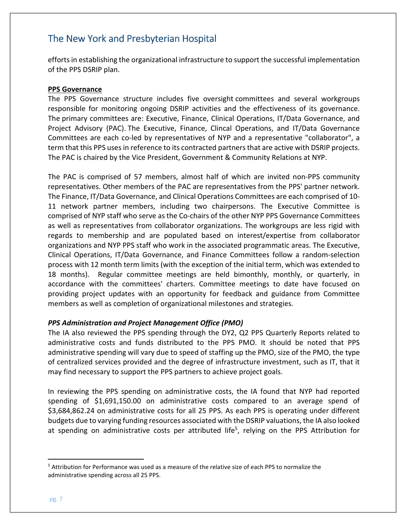efforts in establishing the organizational infrastructure to support the successful implementation of the PPS DSRIP plan.

#### PPS Governance

 The PPS Governance structure includes five oversight committees and several workgroups responsible for monitoring ongoing DSRIP activities and the effectiveness of its governance. The primary committees are: Executive, Finance, Clinical Operations, IT/Data Governance, and Project Advisory (PAC). The Executive, Finance, Clincal Operations, and IT/Data Governance Committees are each co-led by representatives of NYP and a representative "collaborator", a term that this PPS uses in reference to its contracted partners that are active with DSRIP projects. The PAC is chaired by the Vice President, Government & Community Relations at NYP.

 The PAC is comprised of 57 members, almost half of which are invited non-PPS community representatives. Other members of the PAC are representatives from the PPS' partner network. The Finance, IT/Data Governance, and Clinical Operations Committees are each comprised of 10- 11 network partner members, including two chairpersons. The Executive Committee is comprised of NYP staff who serve as the Co-chairs of the other NYP PPS Governance Committees as well as representatives from collaborator organizations. The workgroups are less rigid with regards to membership and are populated based on interest/expertise from collaborator organizations and NYP PPS staff who work in the associated programmatic areas. The Executive, Clinical Operations, IT/Data Governance, and Finance Committees follow a random-selection process with 12 month term limits (with the exception of the initial term, which was extended to 18 months). Regular committee meetings are held bimonthly, monthly, or quarterly, in accordance with the committees' charters. Committee meetings to date have focused on providing project updates with an opportunity for feedback and guidance from Committee members as well as completion of organizational milestones and strategies.

#### PPS Administration and Project Management Office (PMO)

 The IA also reviewed the PPS spending through the DY2, Q2 PPS Quarterly Reports related to administrative costs and funds distributed to the PPS PMO. It should be noted that PPS administrative spending will vary due to speed of staffing up the PMO, size of the PMO, the type of centralized services provided and the degree of infrastructure investment, such as IT, that it may find necessary to support the PPS partners to achieve project goals.

 In reviewing the PPS spending on administrative costs, the IA found that NYP had reported spending of \$1,691,150.00 on administrative costs compared to an average spend of \$3,684,862.24 on administrative costs for all 25 PPS. As each PPS is operating under different budgets due to varying funding resources associated with the DSRIP valuations, the IA also looked at spending on administrative costs per attributed life<sup>5</sup>, relying on the PPS Attribution for

l

<sup>&</sup>lt;sup>5</sup> Attribution for Performance was used as a measure of the relative size of each PPS to normalize the administrative spending across all 25 PPS.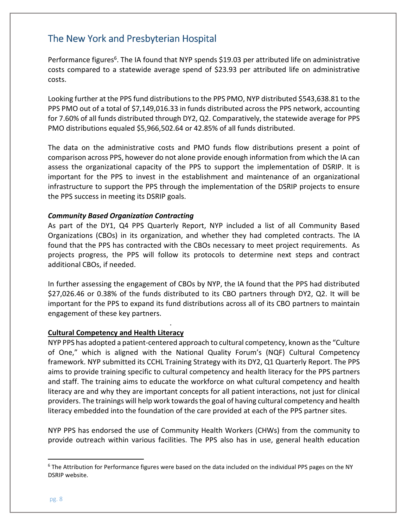Performance figures<sup>6</sup>. The IA found that NYP spends \$19.03 per attributed life on administrative costs compared to a statewide average spend of \$23.93 per attributed life on administrative costs.

costs.<br>Looking further at the PPS fund distributions to the PPS PMO, NYP distributed \$543,638.81 to the PPS PMO out of a total of \$7,149,016.33 in funds distributed across the PPS network, accounting for 7.60% of all funds distributed through DY2, Q2. Comparatively, the statewide average for PPS PMO distributions equaled \$5,966,502.64 or 42.85% of all funds distributed.

 The data on the administrative costs and PMO funds flow distributions present a point of comparison across PPS, however do not alone provide enough information from which the IA can assess the organizational capacity of the PPS to support the implementation of DSRIP. It is important for the PPS to invest in the establishment and maintenance of an organizational infrastructure to support the PPS through the implementation of the DSRIP projects to ensure the PPS success in meeting its DSRIP goals.

#### Community Based Organization Contracting

 As part of the DY1, Q4 PPS Quarterly Report, NYP included a list of all Community Based Organizations (CBOs) in its organization, and whether they had completed contracts. The IA found that the PPS has contracted with the CBOs necessary to meet project requirements. As projects progress, the PPS will follow its protocols to determine next steps and contract additional CBOs, if needed.

 In further assessing the engagement of CBOs by NYP, the IA found that the PPS had distributed \$27,026.46 or 0.38% of the funds distributed to its CBO partners through DY2, Q2. It will be important for the PPS to expand its fund distributions across all of its CBO partners to maintain engagement of these key partners.

#### Cultural Competency and Health Literacy

49,016.33 earned through this period.

 NYP PPS has adopted a patient-centered approach to cultural competency, known as the "Culture of One," which is aligned with the National Quality Forum's (NQF) Cultural Competency framework. NYP submitted its CCHL Training Strategy with its DY2, Q1 Quarterly Report. The PPS aims to provide training specific to cultural competency and health literacy for the PPS partners and staff. The training aims to educate the workforce on what cultural competency and health literacy are and why they are important concepts for all patient interactions, not just for clinical providers. The trainings will help work towards the goal of having cultural competency and health literacy embedded into the foundation of the care provided at each of the PPS partner sites.

 NYP PPS has endorsed the use of Community Health Workers (CHWs) from the community to provide outreach within various facilities. The PPS also has in use, general health education

l

<sup>&</sup>lt;sup>6</sup> The Attribution for Performance figures were based on the data included on the individual PPS pages on the NY DSRIP website.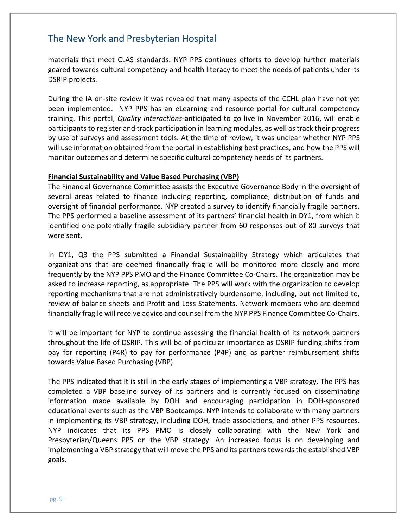materials that meet CLAS standards. NYP PPS continues efforts to develop further materials geared towards cultural competency and health literacy to meet the needs of patients under its DSRIP projects.

 During the IA on-site review it was revealed that many aspects of the CCHL plan have not yet been implemented. NYP PPS has an eLearning and resource portal for cultural competency training. This portal, Quality Interactions-anticipated to go live in November 2016, will enable participants to register and track participation in learning modules, as well as track their progress by use of surveys and assessment tools. At the time of review, it was unclear whether NYP PPS will use information obtained from the portal in establishing best practices, and how the PPS will monitor outcomes and determine specific cultural competency needs of its partners.

#### Financial Sustainability and Value Based Purchasing (VBP)

 The Financial Governance Committee assists the Executive Governance Body in the oversight of several areas related to finance including reporting, compliance, distribution of funds and oversight of financial performance. NYP created a survey to identify financially fragile partners. The PPS performed a baseline assessment of its partners' financial health in DY1, from which it identified one potentially fragile subsidiary partner from 60 responses out of 80 surveys that were sent.

 In DY1, Q3 the PPS submitted a Financial Sustainability Strategy which articulates that organizations that are deemed financially fragile will be monitored more closely and more frequently by the NYP PPS PMO and the Finance Committee Co-Chairs. The organization may be asked to increase reporting, as appropriate. The PPS will work with the organization to develop reporting mechanisms that are not administratively burdensome, including, but not limited to, review of balance sheets and Profit and Loss Statements. Network members who are deemed financially fragile will receive advice and counsel from the NYP PPS Finance Committee Co-Chairs.

 It will be important for NYP to continue assessing the financial health of its network partners throughout the life of DSRIP. This will be of particular importance as DSRIP funding shifts from pay for reporting (P4R) to pay for performance (P4P) and as partner reimbursement shifts towards Value Based Purchasing (VBP).

 The PPS indicated that it is still in the early stages of implementing a VBP strategy. The PPS has completed a VBP baseline survey of its partners and is currently focused on disseminating information made available by DOH and encouraging participation in DOH-sponsored educational events such as the VBP Bootcamps. NYP intends to collaborate with many partners in implementing its VBP strategy, including DOH, trade associations, and other PPS resources. NYP indicates that its PPS PMO is closely collaborating with the New York and Presbyterian/Queens PPS on the VBP strategy. An increased focus is on developing and implementing a VBP strategy that will move the PPS and its partners towards the established VBP goals.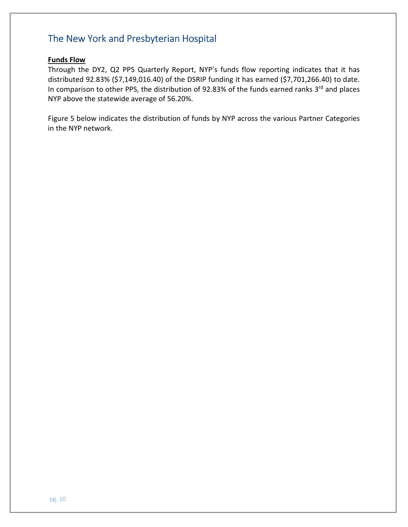#### Funds Flow

 Through the DY2, Q2 PPS Quarterly Report, NYP's funds flow reporting indicates that it has distributed 92.83% (\$7,149,016.40) of the DSRIP funding it has earned (\$7,701,266.40) to date. In comparison to other PPS, the distribution of 92.83% of the funds earned ranks 3rd and places NYP above the statewide average of 56.20%.

 Figure 5 below indicates the distribution of funds by NYP across the various Partner Categories in the NYP network.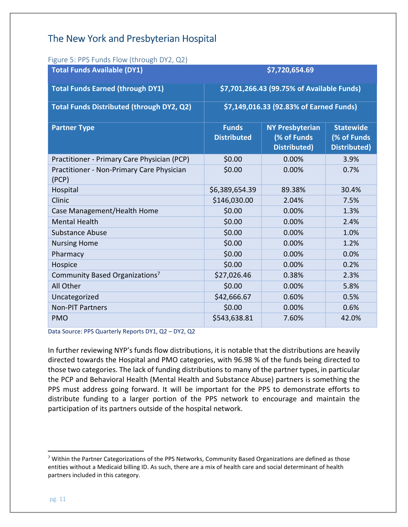| Figure 5: PPS Funds Flow (through DY2, Q2)         |                                         |                                                              |                                                        |  |
|----------------------------------------------------|-----------------------------------------|--------------------------------------------------------------|--------------------------------------------------------|--|
| <b>Total Funds Available (DY1)</b>                 | \$7,720,654.69                          |                                                              |                                                        |  |
| <b>Total Funds Earned (through DY1)</b>            |                                         | \$7,701,266.43 (99.75% of Available Funds)                   |                                                        |  |
| Total Funds Distributed (through DY2, Q2)          | \$7,149,016.33 (92.83% of Earned Funds) |                                                              |                                                        |  |
| <b>Partner Type</b>                                | <b>Funds</b><br><b>Distributed</b>      | <b>NY Presbyterian</b><br>(% of Funds<br><b>Distributed)</b> | <b>Statewide</b><br>(% of Funds<br><b>Distributed)</b> |  |
| Practitioner - Primary Care Physician (PCP)        | \$0.00                                  | 0.00%                                                        | 3.9%                                                   |  |
| Practitioner - Non-Primary Care Physician<br>(PCP) | \$0.00                                  | 0.00%                                                        | 0.7%                                                   |  |
| Hospital                                           | \$6,389,654.39                          | 89.38%                                                       | 30.4%                                                  |  |
| Clinic                                             | \$146,030.00                            | 2.04%                                                        | 7.5%                                                   |  |
| Case Management/Health Home                        | \$0.00                                  | 0.00%                                                        | 1.3%                                                   |  |
| <b>Mental Health</b>                               | \$0.00                                  | 0.00%                                                        | 2.4%                                                   |  |
| <b>Substance Abuse</b>                             | \$0.00                                  | 0.00%                                                        | 1.0%                                                   |  |
| <b>Nursing Home</b>                                | \$0.00                                  | 0.00%                                                        | 1.2%                                                   |  |
| Pharmacy                                           | \$0.00                                  | 0.00%                                                        | 0.0%                                                   |  |
| Hospice                                            | \$0.00                                  | 0.00%                                                        | 0.2%                                                   |  |
| Community Based Organizations <sup>7</sup>         | \$27,026.46                             | 0.38%                                                        | 2.3%                                                   |  |
| All Other                                          | \$0.00                                  | 0.00%                                                        | 5.8%                                                   |  |
| Uncategorized                                      | \$42,666.67                             | 0.60%                                                        | 0.5%                                                   |  |
| <b>Non-PIT Partners</b>                            | \$0.00                                  | 0.00%                                                        | 0.6%                                                   |  |
| <b>PMO</b>                                         | \$543,638.81                            | 7.60%                                                        | 42.0%                                                  |  |

 $\overline{z}$  and  $\overline{z}$ Figure 5: PPS Funds Flow (through DY2, Q2)

Data Source: PPS Quarterly Reports DY1, Q2 – DY2, Q2

 In further reviewing NYP's funds flow distributions, it is notable that the distributions are heavily directed towards the Hospital and PMO categories, with 96.98 % of the funds being directed to those two categories. The lack of funding distributions to many of the partner types, in particular the PCP and Behavioral Health (Mental Health and Substance Abuse) partners is something the PPS must address going forward. It will be important for the PPS to demonstrate efforts to distribute funding to a larger portion of the PPS network to encourage and maintain the participation of its partners outside of the hospital network.

 $7$  Within the Partner Categorizations of the PPS Networks, Community Based Organizations are defined as those entities without a Medicaid billing ID. As such, there are a mix of health care and social determinant of health partners included in this category.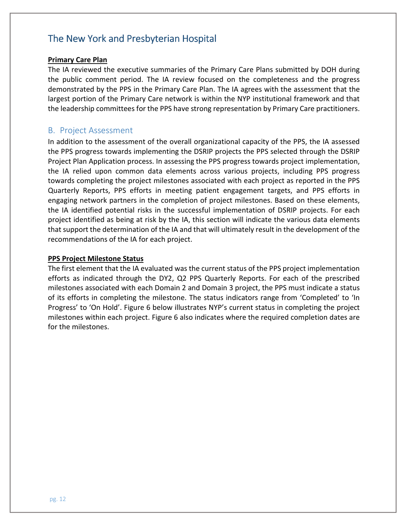#### **Primary Care Plan**

 The IA reviewed the executive summaries of the Primary Care Plans submitted by DOH during the public comment period. The IA review focused on the completeness and the progress demonstrated by the PPS in the Primary Care Plan. The IA agrees with the assessment that the largest portion of the Primary Care network is within the NYP institutional framework and that the leadership committees for the PPS have strong representation by Primary Care practitioners.

#### B. Project Assessment

 In addition to the assessment of the overall organizational capacity of the PPS, the IA assessed the PPS progress towards implementing the DSRIP projects the PPS selected through the DSRIP Project Plan Application process. In assessing the PPS progress towards project implementation, the IA relied upon common data elements across various projects, including PPS progress towards completing the project milestones associated with each project as reported in the PPS Quarterly Reports, PPS efforts in meeting patient engagement targets, and PPS efforts in engaging network partners in the completion of project milestones. Based on these elements, the IA identified potential risks in the successful implementation of DSRIP projects. For each project identified as being at risk by the IA, this section will indicate the various data elements that support the determination of the IA and that will ultimately result in the development of the recommendations of the IA for each project.

#### **PPS Project Milestone Status**

 The first element that the IA evaluated was the current status of the PPS project implementation efforts as indicated through the DY2, Q2 PPS Quarterly Reports. For each of the prescribed milestones associated with each Domain 2 and Domain 3 project, the PPS must indicate a status of its efforts in completing the milestone. The status indicators range from 'Completed' to 'In Progress' to 'On Hold'. Figure 6 below illustrates NYP's current status in completing the project milestones within each project. Figure 6 also indicates where the required completion dates are for the milestones.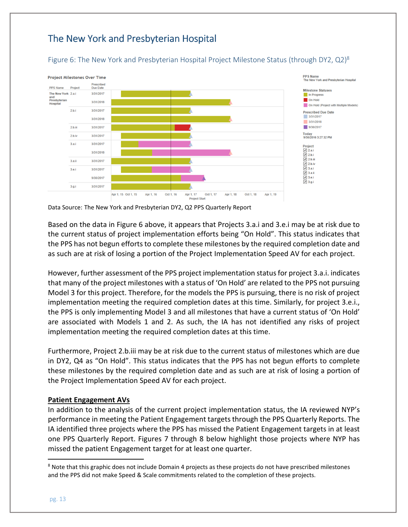#### Figure 6: The New York and Presbyterian Hospital Project Milestone Status (through DY2, Q2)<sup>8</sup>



Data Source: The New York and Presbyterian DY2, Q2 PPS Quarterly Report

 Based on the data in Figure 6 above, it appears that Projects 3.a.i and 3.e.i may be at risk due to the current status of project implementation efforts being "On Hold". This status indicates that the PPS has not begun efforts to complete these milestones by the required completion date and as such are at risk of losing a portion of the Project Implementation Speed AV for each project.

 However, further assessment of the PPS project implementation status for project 3.a.i. indicates that many of the project milestones with a status of 'On Hold' are related to the PPS not pursuing Model 3 for this project. Therefore, for the models the PPS is pursuing, there is no risk of project implementation meeting the required completion dates at this time. Similarly, for project 3.e.i., the PPS is only implementing Model 3 and all milestones that have a current status of 'On Hold' are associated with Models 1 and 2. As such, the IA has not identified any risks of project implementation meeting the required completion dates at this time.

 Furthermore, Project 2.b.iii may be at risk due to the current status of milestones which are due in DY2, Q4 as "On Hold". This status indicates that the PPS has not begun efforts to complete these milestones by the required completion date and as such are at risk of losing a portion of the Project Implementation Speed AV for each project.

#### **Patient Engagement AVs**

 In addition to the analysis of the current project implementation status, the IA reviewed NYP's performance in meeting the Patient Engagement targets through the PPS Quarterly Reports. The IA identified three projects where the PPS has missed the Patient Engagement targets in at least one PPS Quarterly Report. Figures 7 through 8 below highlight those projects where NYP has missed the patient Engagement target for at least one quarter.

l

<sup>&</sup>lt;sup>8</sup> Note that this graphic does not include Domain 4 projects as these projects do not have prescribed milestones and the PPS did not make Speed & Scale commitments related to the completion of these projects.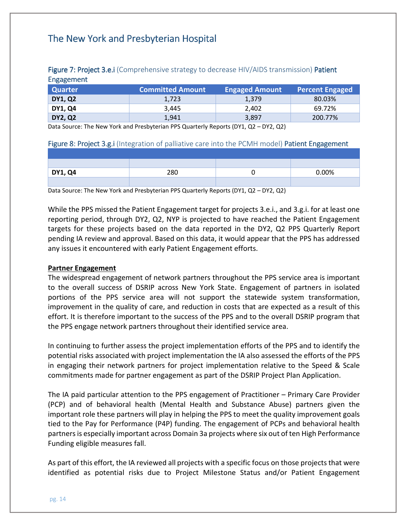| <b>Quarter</b> | <b>Committed Amount</b> | <b>Engaged Amount</b> | <b>Percent Engaged</b> |
|----------------|-------------------------|-----------------------|------------------------|
| <b>DY1, Q2</b> | 1,723                   | 1,379                 | 80.03%                 |
| <b>DY1, Q4</b> | 3.445                   | 2.402                 | 69.72%                 |
| <b>DY2, Q2</b> | 1,941                   | 3,897                 | 200.77%                |

#### Figure 7: Project 3.e.i (Comprehensive strategy to decrease HIV/AIDS transmission) Patient **Engagement**

Data Source: The New York and Presbyterian PPS Quarterly Reports (DY1, Q2 – DY2, Q2)

#### Figure 8: Project 3.g.i (Integration of palliative care into the PCMH model) Patient Engagement

| <b>DY1, Q4</b> | 280 | 0.00% |
|----------------|-----|-------|
|                |     |       |

Data Source: The New York and Presbyterian PPS Quarterly Reports (DY1, Q2 – DY2, Q2)

 While the PPS missed the Patient Engagement target for projects 3.e.i., and 3.g.i. for at least one reporting period, through DY2, Q2, NYP is projected to have reached the Patient Engagement targets for these projects based on the data reported in the DY2, Q2 PPS Quarterly Report pending IA review and approval. Based on this data, it would appear that the PPS has addressed any issues it encountered with early Patient Engagement efforts.

#### Partner Engagement

 The widespread engagement of network partners throughout the PPS service area is important to the overall success of DSRIP across New York State. Engagement of partners in isolated portions of the PPS service area will not support the statewide system transformation, improvement in the quality of care, and reduction in costs that are expected as a result of this effort. It is therefore important to the success of the PPS and to the overall DSRIP program that the PPS engage network partners throughout their identified service area.

 In continuing to further assess the project implementation efforts of the PPS and to identify the potential risks associated with project implementation the IA also assessed the efforts of the PPS in engaging their network partners for project implementation relative to the Speed & Scale commitments made for partner engagement as part of the DSRIP Project Plan Application.

 The IA paid particular attention to the PPS engagement of Practitioner – Primary Care Provider (PCP) and of behavioral health (Mental Health and Substance Abuse) partners given the important role these partners will play in helping the PPS to meet the quality improvement goals tied to the Pay for Performance (P4P) funding. The engagement of PCPs and behavioral health partners is especially important across Domain 3a projects where six out of ten High Performance Funding eligible measures fall.

 As part of this effort, the IA reviewed all projects with a specific focus on those projects that were identified as potential risks due to Project Milestone Status and/or Patient Engagement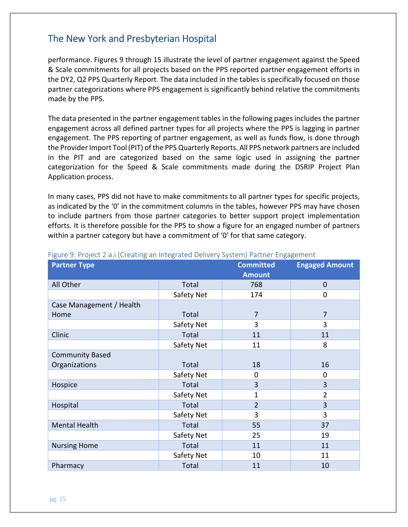performance. Figures 9 through 15 illustrate the level of partner engagement against the Speed & Scale commitments for all projects based on the PPS reported partner engagement efforts in the DY2, Q2 PPS Quarterly Report. The data included in the tables is specifically focused on those partner categorizations where PPS engagement is significantly behind relative the commitments made by the PPS.

 The data presented in the partner engagement tables in the following pages includes the partner engagement across all defined partner types for all projects where the PPS is lagging in partner engagement. The PPS reporting of partner engagement, as well as funds flow, is done through the Provider Import Tool (PIT) of the PPS Quarterly Reports. All PPS network partners are included in the PIT and are categorized based on the same logic used in assigning the partner categorization for the Speed & Scale commitments made during the DSRIP Project Plan Application process.

 In many cases, PPS did not have to make commitments to all partner types for specific projects, as indicated by the '0' in the commitment columns in the tables, however PPS may have chosen to include partners from those partner categories to better support project implementation efforts. It is therefore possible for the PPS to show a figure for an engaged number of partners within a partner category but have a commitment of '0' for that same category.

| <b>Partner Type</b>      |              | <b>Committed</b><br><b>Amount</b> | <b>Engaged Amount</b> |
|--------------------------|--------------|-----------------------------------|-----------------------|
| All Other                | Total        | 768                               | $\overline{0}$        |
|                          | Safety Net   | 174                               | 0                     |
| Case Management / Health |              |                                   |                       |
| Home                     | Total        | 7                                 | $\overline{7}$        |
|                          | Safety Net   | 3                                 | 3                     |
| Clinic                   | Total        | 11                                | 11                    |
|                          | Safety Net   | 11                                | 8                     |
| <b>Community Based</b>   |              |                                   |                       |
| Organizations            | Total        | 18                                | 16                    |
|                          | Safety Net   | 0                                 | 0                     |
| Hospice                  | Total        | 3                                 | 3                     |
|                          | Safety Net   | 1                                 | $\overline{2}$        |
| Hospital                 | Total        | $\overline{2}$                    | 3                     |
|                          | Safety Net   | 3                                 | 3                     |
| <b>Mental Health</b>     | Total        | 55                                | 37                    |
|                          | Safety Net   | 25                                | 19                    |
| <b>Nursing Home</b>      | Total        | 11                                | 11                    |
|                          | Safety Net   | 10                                | 11                    |
| Pharmacy                 | <b>Total</b> | 11                                | 10                    |

#### Figure 9: Project 2.a.i (Creating an Integrated Delivery System) Partner Engagement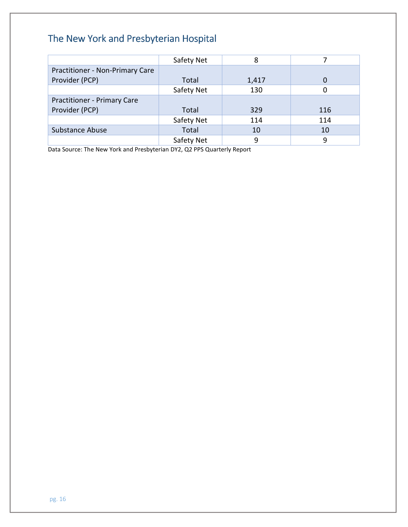|                                    | Safety Net | 8     |     |
|------------------------------------|------------|-------|-----|
| Practitioner - Non-Primary Care    |            |       |     |
| Provider (PCP)                     | Total      | 1,417 |     |
|                                    | Safety Net | 130   |     |
| <b>Practitioner - Primary Care</b> |            |       |     |
| Provider (PCP)                     | Total      | 329   | 116 |
|                                    | Safety Net | 114   | 114 |
| <b>Substance Abuse</b>             | Total      | 10    | 10  |
|                                    | Safety Net | 9     | 9   |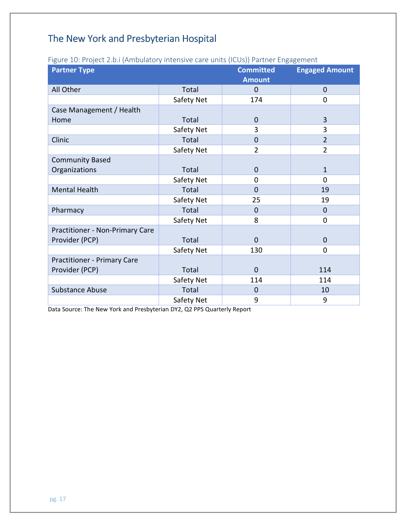|                                    | iguit 10. Froject 2.0. Prinduidtory interiore care units (iCO3)) i artifer Engagement |                  |                       |
|------------------------------------|---------------------------------------------------------------------------------------|------------------|-----------------------|
| <b>Partner Type</b>                |                                                                                       | <b>Committed</b> | <b>Engaged Amount</b> |
|                                    |                                                                                       | <b>Amount</b>    |                       |
| All Other                          | Total                                                                                 | $\mathbf 0$      | $\mathbf{0}$          |
|                                    | Safety Net                                                                            | 174              | $\mathbf 0$           |
| Case Management / Health           |                                                                                       |                  |                       |
| Home                               | Total                                                                                 | 0                | 3                     |
|                                    | Safety Net                                                                            | 3                | 3                     |
| Clinic                             | Total                                                                                 | $\mathbf 0$      | $\overline{2}$        |
|                                    | Safety Net                                                                            | $\overline{2}$   | $\overline{2}$        |
| <b>Community Based</b>             |                                                                                       |                  |                       |
| Organizations                      | Total                                                                                 | $\mathbf 0$      | $\mathbf{1}$          |
|                                    | Safety Net                                                                            | 0                | 0                     |
| <b>Mental Health</b>               | Total                                                                                 | 0                | 19                    |
|                                    | Safety Net                                                                            | 25               | 19                    |
| Pharmacy                           | Total                                                                                 | 0                | $\mathbf 0$           |
|                                    | Safety Net                                                                            | 8                | $\mathbf 0$           |
| Practitioner - Non-Primary Care    |                                                                                       |                  |                       |
| Provider (PCP)                     | Total                                                                                 | $\overline{0}$   | $\mathbf{0}$          |
|                                    | Safety Net                                                                            | 130              | $\overline{0}$        |
| <b>Practitioner - Primary Care</b> |                                                                                       |                  |                       |
| Provider (PCP)                     | Total                                                                                 | $\overline{0}$   | 114                   |
|                                    | Safety Net                                                                            | 114              | 114                   |
| <b>Substance Abuse</b>             | Total                                                                                 | $\mathbf 0$      | 10                    |
|                                    | Safety Net                                                                            | 9                | 9                     |

#### Figure 10: Project 2.b.i (Ambulatory intensive care units (ICUs)) Partner Engagement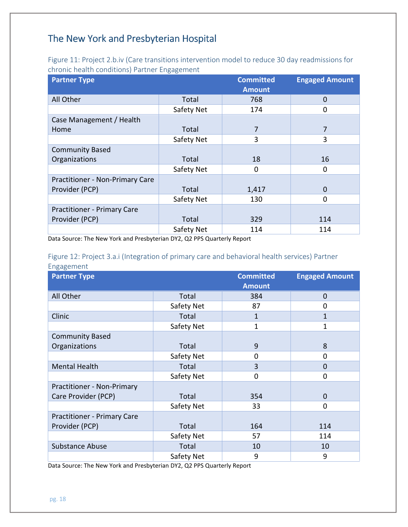Figure 11: Project 2.b.iv (Care transitions intervention model to reduce 30 day readmissions for chronic health conditions) Partner Engagement

| <b>Partner Type</b>                    |            | <b>Committed</b> | <b>Engaged Amount</b> |
|----------------------------------------|------------|------------------|-----------------------|
|                                        |            | <b>Amount</b>    |                       |
| All Other                              | Total      | 768              | $\mathbf 0$           |
|                                        | Safety Net | 174              | 0                     |
| Case Management / Health               |            |                  |                       |
| Home                                   | Total      | 7                | 7                     |
|                                        | Safety Net | 3                | 3                     |
| <b>Community Based</b>                 |            |                  |                       |
| Organizations                          | Total      | 18               | 16                    |
|                                        | Safety Net | 0                | 0                     |
| <b>Practitioner - Non-Primary Care</b> |            |                  |                       |
| Provider (PCP)                         | Total      | 1,417            | $\mathbf 0$           |
|                                        | Safety Net | 130              | 0                     |
| <b>Practitioner - Primary Care</b>     |            |                  |                       |
| Provider (PCP)                         | Total      | 329              | 114                   |
|                                        | Safety Net | 114              | 114                   |

Data Source: The New York and Presbyterian DY2, Q2 PPS Quarterly Report

#### Figure 12: Project 3.a.i (Integration of primary care and behavioral health services) Partner Engagement

| ິບ<br><b>Partner Type</b>          |            | <b>Committed</b><br><b>Amount</b> | <b>Engaged Amount</b> |
|------------------------------------|------------|-----------------------------------|-----------------------|
| All Other                          | Total      | 384                               | $\mathbf 0$           |
|                                    | Safety Net | 87                                | 0                     |
| Clinic                             | Total      | $\mathbf{1}$                      | $\mathbf{1}$          |
|                                    | Safety Net | $\mathbf{1}$                      | 1                     |
| <b>Community Based</b>             |            |                                   |                       |
| Organizations                      | Total      | 9                                 | 8                     |
|                                    | Safety Net | 0                                 | 0                     |
| <b>Mental Health</b>               | Total      | 3                                 | 0                     |
|                                    | Safety Net | 0                                 | 0                     |
| <b>Practitioner - Non-Primary</b>  |            |                                   |                       |
| Care Provider (PCP)                | Total      | 354                               | $\overline{0}$        |
|                                    | Safety Net | 33                                | 0                     |
| <b>Practitioner - Primary Care</b> |            |                                   |                       |
| Provider (PCP)                     | Total      | 164                               | 114                   |
|                                    | Safety Net | 57                                | 114                   |
| <b>Substance Abuse</b>             | Total      | 10                                | 10                    |
|                                    | Safety Net | 9                                 | 9                     |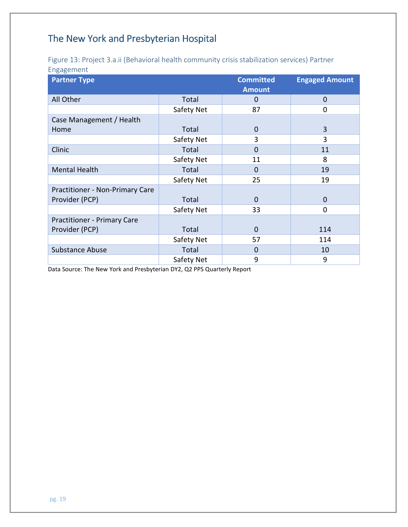Figure 13: Project 3.a.ii (Behavioral health community crisis stabilization services) Partner Engagement

| <b>Partner Type</b>                |            | <b>Committed</b><br><b>Amount</b> | <b>Engaged Amount</b> |
|------------------------------------|------------|-----------------------------------|-----------------------|
| All Other                          | Total      | 0                                 | $\mathbf 0$           |
|                                    | Safety Net | 87                                | 0                     |
| Case Management / Health           |            |                                   |                       |
| Home                               | Total      | $\mathbf 0$                       | 3                     |
|                                    | Safety Net | 3                                 | 3                     |
| Clinic                             | Total      | $\mathbf 0$                       | 11                    |
|                                    | Safety Net | 11                                | 8                     |
| <b>Mental Health</b>               | Total      | 0                                 | 19                    |
|                                    | Safety Net | 25                                | 19                    |
| Practitioner - Non-Primary Care    |            |                                   |                       |
| Provider (PCP)                     | Total      | $\mathbf 0$                       | $\Omega$              |
|                                    | Safety Net | 33                                | 0                     |
| <b>Practitioner - Primary Care</b> |            |                                   |                       |
| Provider (PCP)                     | Total      | $\Omega$                          | 114                   |
|                                    | Safety Net | 57                                | 114                   |
| <b>Substance Abuse</b>             | Total      | 0                                 | 10                    |
|                                    | Safety Net | 9                                 | 9                     |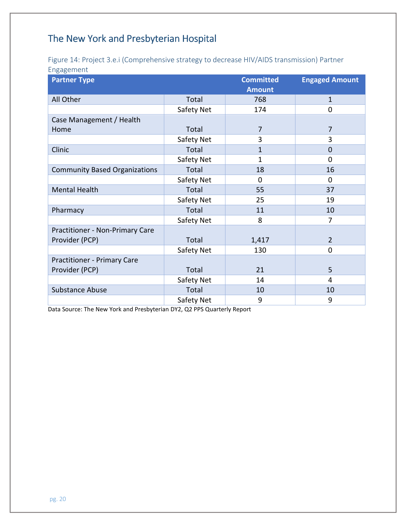#### Figure 14: Project 3.e.i (Comprehensive strategy to decrease HIV/AIDS transmission) Partner Engagement

| <b>Partner Type</b>                  |            | <b>Committed</b><br><b>Amount</b> | <b>Engaged Amount</b> |
|--------------------------------------|------------|-----------------------------------|-----------------------|
| All Other                            | Total      | 768                               | 1                     |
|                                      | Safety Net | 174                               | 0                     |
| Case Management / Health             |            |                                   |                       |
| Home                                 | Total      | $\overline{7}$                    | $\overline{7}$        |
|                                      | Safety Net | 3                                 | 3                     |
| Clinic                               | Total      | $\mathbf{1}$                      | $\overline{0}$        |
|                                      | Safety Net | 1                                 | $\mathbf 0$           |
| <b>Community Based Organizations</b> | Total      | 18                                | 16                    |
|                                      | Safety Net | $\mathbf 0$                       | $\mathbf 0$           |
| <b>Mental Health</b>                 | Total      | 55                                | 37                    |
|                                      | Safety Net | 25                                | 19                    |
| Pharmacy                             | Total      | 11                                | 10                    |
|                                      | Safety Net | 8                                 | $\overline{7}$        |
| Practitioner - Non-Primary Care      |            |                                   |                       |
| Provider (PCP)                       | Total      | 1,417                             | $\overline{2}$        |
|                                      | Safety Net | 130                               | $\mathbf 0$           |
| <b>Practitioner - Primary Care</b>   |            |                                   |                       |
| Provider (PCP)                       | Total      | 21                                | 5                     |
|                                      | Safety Net | 14                                | 4                     |
| <b>Substance Abuse</b>               | Total      | 10                                | 10                    |
|                                      | Safety Net | 9                                 | 9                     |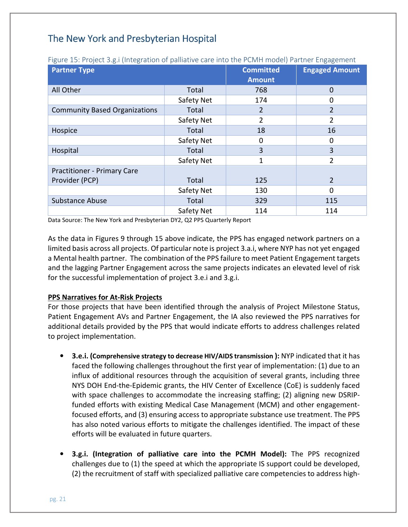| <b>Partner Type</b>                  |            | <b>Committed</b> | <b>Engaged Amount</b> |
|--------------------------------------|------------|------------------|-----------------------|
|                                      |            | <b>Amount</b>    |                       |
| All Other                            | Total      | 768              | $\mathbf 0$           |
|                                      | Safety Net | 174              | 0                     |
| <b>Community Based Organizations</b> | Total      | 2                | $\overline{2}$        |
|                                      | Safety Net | $\overline{2}$   | $\overline{2}$        |
| Hospice                              | Total      | 18               | 16                    |
|                                      | Safety Net | 0                | 0                     |
| Hospital                             | Total      | 3                | 3                     |
|                                      | Safety Net | 1                | $\overline{2}$        |
| <b>Practitioner - Primary Care</b>   |            |                  |                       |
| Provider (PCP)                       | Total      | 125              | $\overline{2}$        |
|                                      | Safety Net | 130              | $\Omega$              |
| <b>Substance Abuse</b>               | Total      | 329              | 115                   |
|                                      | Safety Net | 114              | 114                   |

Figure 15: Project 3.g.i (Integration of palliative care into the PCMH model) Partner Engagement

Data Source: The New York and Presbyterian DY2, Q2 PPS Quarterly Report

 As the data in Figures 9 through 15 above indicate, the PPS has engaged network partners on a limited basis across all projects. Of particular note is project 3.a.i, where NYP has not yet engaged a Mental health partner. The combination of the PPS failure to meet Patient Engagement targets and the lagging Partner Engagement across the same projects indicates an elevated level of risk for the successful implementation of project 3.e.i and 3.g.i.

#### **PPS Narratives for At-Risk Projects**

 For those projects that have been identified through the analysis of Project Milestone Status, Patient Engagement AVs and Partner Engagement, the IA also reviewed the PPS narratives for additional details provided by the PPS that would indicate efforts to address challenges related to project implementation.

- 3.e.i. (Comprehensive strategy to decrease HIV/AIDS transmission ): NYP indicated that it has faced the following challenges throughout the first year of implementation: (1) due to an influx of additional resources through the acquisition of several grants, including three NYS DOH End-the-Epidemic grants, the HIV Center of Excellence (CoE) is suddenly faced with space challenges to accommodate the increasing staffing; (2) aligning new DSRIP- funded efforts with existing Medical Case Management (MCM) and other engagement- focused efforts, and (3) ensuring access to appropriate substance use treatment. The PPS has also noted various efforts to mitigate the challenges identified. The impact of these efforts will be evaluated in future quarters.
- 3.g.i. (Integration of palliative care into the PCMH Model): The PPS recognized challenges due to (1) the speed at which the appropriate IS support could be developed, (2) the recruitment of staff with specialized palliative care competencies to address high-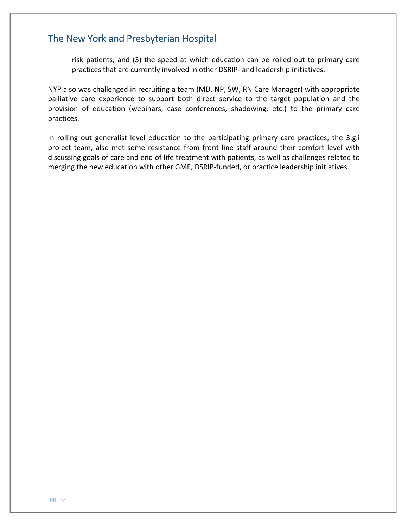risk patients, and (3) the speed at which education can be rolled out to primary care practices that are currently involved in other DSRIP- and leadership initiatives.

 NYP also was challenged in recruiting a team (MD, NP, SW, RN Care Manager) with appropriate palliative care experience to support both direct service to the target population and the provision of education (webinars, case conferences, shadowing, etc.) to the primary care practices.

practices.<br>In rolling out generalist level education to the participating primary care practices, the 3.g.i project team, also met some resistance from front line staff around their comfort level with discussing goals of care and end of life treatment with patients, as well as challenges related to merging the new education with other GME, DSRIP-funded, or practice leadership initiatives.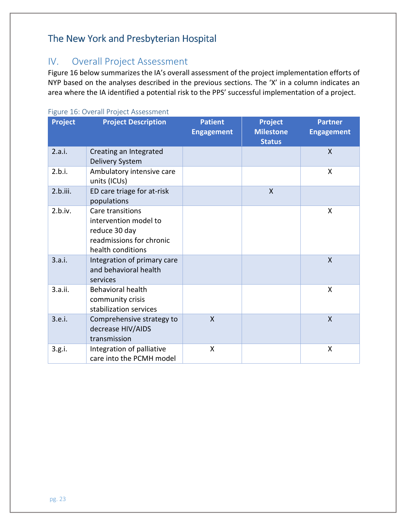## IV. Overall Project Assessment

 NYP based on the analyses described in the previous sections. The 'X' in a column indicates an area where the IA identified a potential risk to the PPS' successful implementation of a project. Figure 16 below summarizes the IA's overall assessment of the project implementation efforts of

#### Figure 16: Overall Project Assessment

| Project  | <b>Project Description</b>                                                                                  | <b>Patient</b><br><b>Engagement</b> | <b>Project</b><br><b>Milestone</b><br><b>Status</b> | <b>Partner</b><br><b>Engagement</b> |
|----------|-------------------------------------------------------------------------------------------------------------|-------------------------------------|-----------------------------------------------------|-------------------------------------|
| 2.a.i.   | Creating an Integrated<br>Delivery System                                                                   |                                     |                                                     | $\mathsf{X}$                        |
| 2.b.i.   | Ambulatory intensive care<br>units (ICUs)                                                                   |                                     |                                                     | $\mathsf{X}$                        |
| 2.b.iii. | ED care triage for at-risk<br>populations                                                                   |                                     | $\mathsf{X}$                                        |                                     |
| 2.b.iv.  | Care transitions<br>intervention model to<br>reduce 30 day<br>readmissions for chronic<br>health conditions |                                     |                                                     | X                                   |
| 3.a.i.   | Integration of primary care<br>and behavioral health<br>services                                            |                                     |                                                     | X                                   |
| 3.a.ii.  | <b>Behavioral health</b><br>community crisis<br>stabilization services                                      |                                     |                                                     | X                                   |
| 3.e.i.   | Comprehensive strategy to<br>decrease HIV/AIDS<br>transmission                                              | $\mathsf{X}$                        |                                                     | $\mathsf{X}$                        |
| 3.g.i.   | Integration of palliative<br>care into the PCMH model                                                       | X                                   |                                                     | X                                   |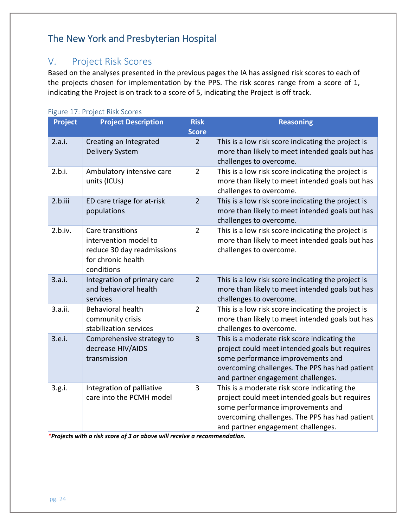## V. Project Risk Scores

 the projects chosen for implementation by the PPS. The risk scores range from a score of 1, indicating the Project is on track to a score of 5, indicating the Project is off track. Based on the analyses presented in the previous pages the IA has assigned risk scores to each of

| <b>Project</b> | <b>Project Description</b>                                                                                  | <b>Risk</b>    | <b>Reasoning</b>                                                                                                                                                                                                            |
|----------------|-------------------------------------------------------------------------------------------------------------|----------------|-----------------------------------------------------------------------------------------------------------------------------------------------------------------------------------------------------------------------------|
|                |                                                                                                             | <b>Score</b>   |                                                                                                                                                                                                                             |
| 2.a.i.         | Creating an Integrated<br>Delivery System                                                                   | $\overline{2}$ | This is a low risk score indicating the project is<br>more than likely to meet intended goals but has<br>challenges to overcome.                                                                                            |
| 2.b.i.         | Ambulatory intensive care<br>units (ICUs)                                                                   | $\overline{2}$ | This is a low risk score indicating the project is<br>more than likely to meet intended goals but has<br>challenges to overcome.                                                                                            |
| 2.b.iii        | ED care triage for at-risk<br>populations                                                                   | $\overline{2}$ | This is a low risk score indicating the project is<br>more than likely to meet intended goals but has<br>challenges to overcome.                                                                                            |
| 2.b.iv.        | Care transitions<br>intervention model to<br>reduce 30 day readmissions<br>for chronic health<br>conditions | $\overline{2}$ | This is a low risk score indicating the project is<br>more than likely to meet intended goals but has<br>challenges to overcome.                                                                                            |
| 3.a.i.         | Integration of primary care<br>and behavioral health<br>services                                            | $\overline{2}$ | This is a low risk score indicating the project is<br>more than likely to meet intended goals but has<br>challenges to overcome.                                                                                            |
| 3.a.ii.        | <b>Behavioral health</b><br>community crisis<br>stabilization services                                      | $\overline{2}$ | This is a low risk score indicating the project is<br>more than likely to meet intended goals but has<br>challenges to overcome.                                                                                            |
| 3.e.i.         | Comprehensive strategy to<br>decrease HIV/AIDS<br>transmission                                              | $\overline{3}$ | This is a moderate risk score indicating the<br>project could meet intended goals but requires<br>some performance improvements and<br>overcoming challenges. The PPS has had patient<br>and partner engagement challenges. |
| 3.g.i.         | Integration of palliative<br>care into the PCMH model                                                       | 3              | This is a moderate risk score indicating the<br>project could meet intended goals but requires<br>some performance improvements and<br>overcoming challenges. The PPS has had patient<br>and partner engagement challenges. |

#### Figure 17: Project Risk Scores

\*Projects with a risk score of 3 or above will receive a recommendation.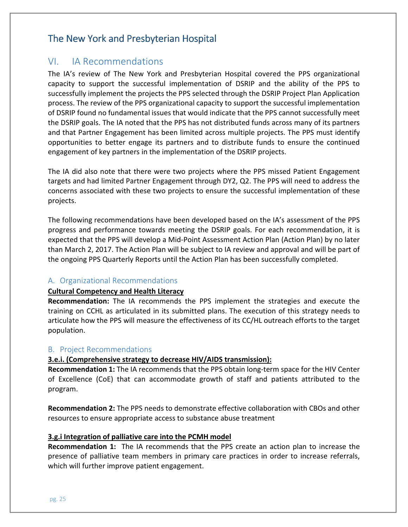### VI. IA Recommendations

 The IA's review of The New York and Presbyterian Hospital covered the PPS organizational capacity to support the successful implementation of DSRIP and the ability of the PPS to successfully implement the projects the PPS selected through the DSRIP Project Plan Application process. The review of the PPS organizational capacity to support the successful implementation of DSRIP found no fundamental issues that would indicate that the PPS cannot successfully meet the DSRIP goals. The IA noted that the PPS has not distributed funds across many of its partners and that Partner Engagement has been limited across multiple projects. The PPS must identify opportunities to better engage its partners and to distribute funds to ensure the continued engagement of key partners in the implementation of the DSRIP projects.

 The IA did also note that there were two projects where the PPS missed Patient Engagement targets and had limited Partner Engagement through DY2, Q2. The PPS will need to address the concerns associated with these two projects to ensure the successful implementation of these projects.

projects.<br>The following recommendations have been developed based on the IA's assessment of the PPS progress and performance towards meeting the DSRIP goals. For each recommendation, it is expected that the PPS will develop a Mid-Point Assessment Action Plan (Action Plan) by no later than March 2, 2017. The Action Plan will be subject to IA review and approval and will be part of the ongoing PPS Quarterly Reports until the Action Plan has been successfully completed.

#### A. Organizational Recommendations

#### Cultural Competency and Health Literacy

Recommendation: The IA recommends the PPS implement the strategies and execute the training on CCHL as articulated in its submitted plans. The execution of this strategy needs to articulate how the PPS will measure the effectiveness of its CC/HL outreach efforts to the target population.

#### B. Project Recommendations

#### 3.e.i. (Comprehensive strategy to decrease HIV/AIDS transmission):

Recommendation 1: The IA recommends that the PPS obtain long-term space for the HIV Center of Excellence (CoE) that can accommodate growth of staff and patients attributed to the program.

Recommendation 2: The PPS needs to demonstrate effective collaboration with CBOs and other resources to ensure appropriate access to substance abuse treatment

#### 3.g.i Integration of palliative care into the PCMH model

Recommendation 1: The IA recommends that the PPS create an action plan to increase the presence of palliative team members in primary care practices in order to increase referrals, which will further improve patient engagement.